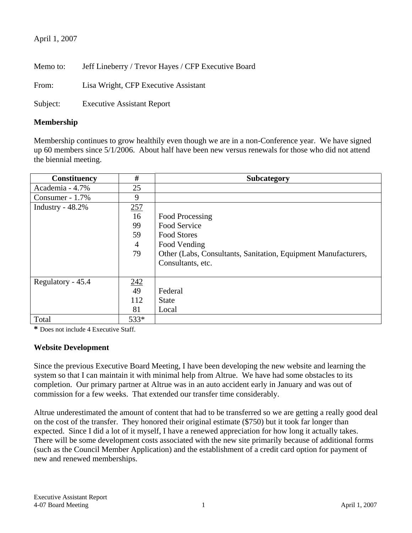## April 1, 2007

Memo to: Jeff Lineberry / Trevor Hayes / CFP Executive Board

From: Lisa Wright, CFP Executive Assistant

Subject: Executive Assistant Report

## **Membership**

Membership continues to grow healthily even though we are in a non-Conference year. We have signed up 60 members since 5/1/2006. About half have been new versus renewals for those who did not attend the biennial meeting.

| <b>Constituency</b> | #                | <b>Subcategory</b>                                             |
|---------------------|------------------|----------------------------------------------------------------|
| Academia - 4.7%     | 25               |                                                                |
| Consumer - 1.7%     | 9                |                                                                |
| Industry $-48.2\%$  | 257              |                                                                |
|                     | 16               | Food Processing                                                |
|                     | 99               | Food Service                                                   |
|                     | 59               | <b>Food Stores</b>                                             |
|                     | 4                | Food Vending                                                   |
|                     | 79               | Other (Labs, Consultants, Sanitation, Equipment Manufacturers, |
|                     |                  | Consultants, etc.                                              |
|                     |                  |                                                                |
| Regulatory - 45.4   |                  |                                                                |
|                     | $\frac{242}{49}$ | Federal                                                        |
|                     | 112              | <b>State</b>                                                   |
|                     | 81               | Local                                                          |
| Total               | 533*             |                                                                |

**\*** Does not include 4 Executive Staff.

## **Website Development**

Since the previous Executive Board Meeting, I have been developing the new website and learning the system so that I can maintain it with minimal help from Altrue. We have had some obstacles to its completion. Our primary partner at Altrue was in an auto accident early in January and was out of commission for a few weeks. That extended our transfer time considerably.

Altrue underestimated the amount of content that had to be transferred so we are getting a really good deal on the cost of the transfer. They honored their original estimate (\$750) but it took far longer than expected. Since I did a lot of it myself, I have a renewed appreciation for how long it actually takes. There will be some development costs associated with the new site primarily because of additional forms (such as the Council Member Application) and the establishment of a credit card option for payment of new and renewed memberships.